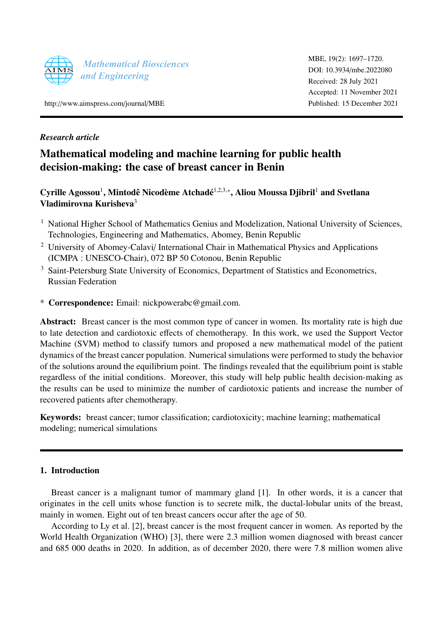

MBE, 19(2): 1697–1720. [DOI: 10.3934](http://dx.doi.org/10.3934/mbe.2022080)/mbe.2022080 Received: 28 July 2021 Accepted: 11 November 2021 Published: 15 December 2021

http://[www.aimspress.com](http://http://www.aimspress.com/journal/MBE)/journal/MBE

# *Research article*

# Mathematical modeling and machine learning for public health decision-making: the case of breast cancer in Benin

Cyrille Agossou<sup>1</sup>, Mintodê Nicodème Atchadé<sup>1,2,3,</sup>\*, Aliou Moussa Djibril<sup>1</sup> and Svetlana Vladimirovna Kurisheva<sup>3</sup>

- <sup>1</sup> National Higher School of Mathematics Genius and Modelization, National University of Sciences, Technologies, Engineering and Mathematics, Abomey, Benin Republic
- <sup>2</sup> University of Abomey-Calavi/ International Chair in Mathematical Physics and Applications (ICMPA : UNESCO-Chair), 072 BP 50 Cotonou, Benin Republic
- <sup>3</sup> Saint-Petersburg State University of Economics, Department of Statistics and Econometrics, Russian Federation
- \* Correspondence: Email: nickpowerabc@gmail.com.

Abstract: Breast cancer is the most common type of cancer in women. Its mortality rate is high due to late detection and cardiotoxic effects of chemotherapy. In this work, we used the Support Vector Machine (SVM) method to classify tumors and proposed a new mathematical model of the patient dynamics of the breast cancer population. Numerical simulations were performed to study the behavior of the solutions around the equilibrium point. The findings revealed that the equilibrium point is stable regardless of the initial conditions. Moreover, this study will help public health decision-making as the results can be used to minimize the number of cardiotoxic patients and increase the number of recovered patients after chemotherapy.

Keywords: breast cancer; tumor classification; cardiotoxicity; machine learning; mathematical modeling; numerical simulations

# 1. Introduction

Breast cancer is a malignant tumor of mammary gland [\[1\]](#page-21-0). In other words, it is a cancer that originates in the cell units whose function is to secrete milk, the ductal-lobular units of the breast, mainly in women. Eight out of ten breast cancers occur after the age of 50.

According to Ly et al. [\[2\]](#page-21-1), breast cancer is the most frequent cancer in women. As reported by the World Health Organization (WHO) [\[3\]](#page-21-2), there were 2.3 million women diagnosed with breast cancer and 685 000 deaths in 2020. In addition, as of december 2020, there were 7.8 million women alive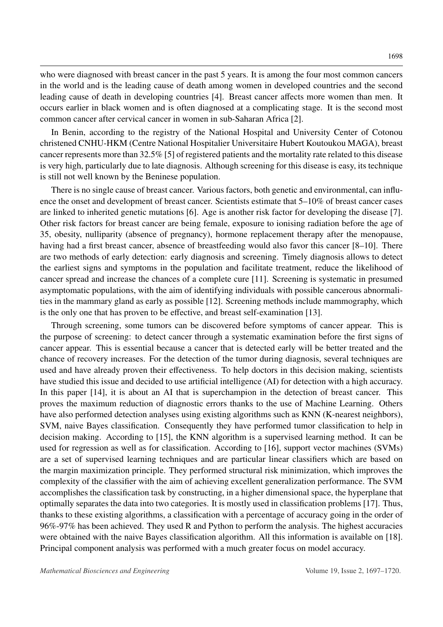who were diagnosed with breast cancer in the past 5 years. It is among the four most common cancers in the world and is the leading cause of death among women in developed countries and the second leading cause of death in developing countries [\[4\]](#page-21-3). Breast cancer affects more women than men. It occurs earlier in black women and is often diagnosed at a complicating stage. It is the second most common cancer after cervical cancer in women in sub-Saharan Africa [\[2\]](#page-21-1).

In Benin, according to the registry of the National Hospital and University Center of Cotonou christened CNHU-HKM (Centre National Hospitalier Universitaire Hubert Koutoukou MAGA), breast cancer represents more than 32.5% [\[5\]](#page-21-4) of registered patients and the mortality rate related to this disease is very high, particularly due to late diagnosis. Although screening for this disease is easy, its technique is still not well known by the Beninese population.

There is no single cause of breast cancer. Various factors, both genetic and environmental, can influence the onset and development of breast cancer. Scientists estimate that 5–10% of breast cancer cases are linked to inherited genetic mutations [\[6\]](#page-21-5). Age is another risk factor for developing the disease [\[7\]](#page-21-6). Other risk factors for breast cancer are being female, exposure to ionising radiation before the age of 35, obesity, nulliparity (absence of pregnancy), hormone replacement therapy after the menopause, having had a first breast cancer, absence of breastfeeding would also favor this cancer [\[8](#page-21-7)[–10\]](#page-21-8). There are two methods of early detection: early diagnosis and screening. Timely diagnosis allows to detect the earliest signs and symptoms in the population and facilitate treatment, reduce the likelihood of cancer spread and increase the chances of a complete cure [\[11\]](#page-21-9). Screening is systematic in presumed asymptomatic populations, with the aim of identifying individuals with possible cancerous abnormalities in the mammary gland as early as possible [\[12\]](#page-21-10). Screening methods include mammography, which is the only one that has proven to be effective, and breast self-examination [\[13\]](#page-21-11).

Through screening, some tumors can be discovered before symptoms of cancer appear. This is the purpose of screening: to detect cancer through a systematic examination before the first signs of cancer appear. This is essential because a cancer that is detected early will be better treated and the chance of recovery increases. For the detection of the tumor during diagnosis, several techniques are used and have already proven their effectiveness. To help doctors in this decision making, scientists have studied this issue and decided to use artificial intelligence (AI) for detection with a high accuracy. In this paper [\[14\]](#page-21-12), it is about an AI that is superchampion in the detection of breast cancer. This proves the maximum reduction of diagnostic errors thanks to the use of Machine Learning. Others have also performed detection analyses using existing algorithms such as KNN (K-nearest neighbors), SVM, naive Bayes classification. Consequently they have performed tumor classification to help in decision making. According to [\[15\]](#page-21-13), the KNN algorithm is a supervised learning method. It can be used for regression as well as for classification. According to [\[16\]](#page-21-14), support vector machines (SVMs) are a set of supervised learning techniques and are particular linear classifiers which are based on the margin maximization principle. They performed structural risk minimization, which improves the complexity of the classifier with the aim of achieving excellent generalization performance. The SVM accomplishes the classification task by constructing, in a higher dimensional space, the hyperplane that optimally separates the data into two categories. It is mostly used in classification problems [\[17\]](#page-22-0). Thus, thanks to these existing algorithms, a classification with a percentage of accuracy going in the order of 96%-97% has been achieved. They used R and Python to perform the analysis. The highest accuracies were obtained with the naive Bayes classification algorithm. All this information is available on [\[18\]](#page-22-1). Principal component analysis was performed with a much greater focus on model accuracy.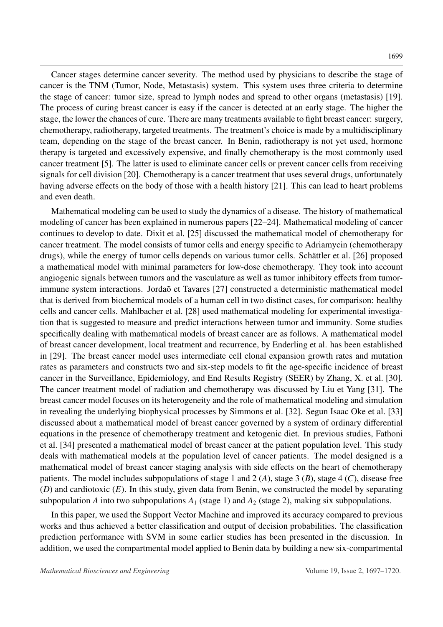Cancer stages determine cancer severity. The method used by physicians to describe the stage of cancer is the TNM (Tumor, Node, Metastasis) system. This system uses three criteria to determine the stage of cancer: tumor size, spread to lymph nodes and spread to other organs (metastasis) [\[19\]](#page-22-2). The process of curing breast cancer is easy if the cancer is detected at an early stage. The higher the stage, the lower the chances of cure. There are many treatments available to fight breast cancer: surgery, chemotherapy, radiotherapy, targeted treatments. The treatment's choice is made by a multidisciplinary team, depending on the stage of the breast cancer. In Benin, radiotherapy is not yet used, hormone therapy is targeted and excessively expensive, and finally chemotherapy is the most commonly used cancer treatment [\[5\]](#page-21-4). The latter is used to eliminate cancer cells or prevent cancer cells from receiving signals for cell division [\[20\]](#page-22-3). Chemotherapy is a cancer treatment that uses several drugs, unfortunately having adverse effects on the body of those with a health history [\[21\]](#page-22-4). This can lead to heart problems and even death.

Mathematical modeling can be used to study the dynamics of a disease. The history of mathematical modeling of cancer has been explained in numerous papers [\[22–](#page-22-5)[24\]](#page-22-6). Mathematical modeling of cancer continues to develop to date. Dixit et al. [\[25\]](#page-22-7) discussed the mathematical model of chemotherapy for cancer treatment. The model consists of tumor cells and energy specific to Adriamycin (chemotherapy drugs), while the energy of tumor cells depends on various tumor cells. Schättler et al. [[26\]](#page-22-8) proposed a mathematical model with minimal parameters for low-dose chemotherapy. They took into account angiogenic signals between tumors and the vasculature as well as tumor inhibitory effects from tumor-immune system interactions. Jordaõ et Tavares [[27\]](#page-22-9) constructed a deterministic mathematical model that is derived from biochemical models of a human cell in two distinct cases, for comparison: healthy cells and cancer cells. Mahlbacher et al. [\[28\]](#page-22-10) used mathematical modeling for experimental investigation that is suggested to measure and predict interactions between tumor and immunity. Some studies specifically dealing with mathematical models of breast cancer are as follows. A mathematical model of breast cancer development, local treatment and recurrence, by Enderling et al. has been established in [\[29\]](#page-22-11). The breast cancer model uses intermediate cell clonal expansion growth rates and mutation rates as parameters and constructs two and six-step models to fit the age-specific incidence of breast cancer in the Surveillance, Epidemiology, and End Results Registry (SEER) by Zhang, X. et al. [\[30\]](#page-22-12). The cancer treatment model of radiation and chemotherapy was discussed by Liu et Yang [\[31\]](#page-22-13). The breast cancer model focuses on its heterogeneity and the role of mathematical modeling and simulation in revealing the underlying biophysical processes by Simmons et al. [\[32\]](#page-22-14). Segun Isaac Oke et al. [\[33\]](#page-22-15) discussed about a mathematical model of breast cancer governed by a system of ordinary differential equations in the presence of chemotherapy treatment and ketogenic diet. In previous studies, Fathoni et al. [\[34\]](#page-23-0) presented a mathematical model of breast cancer at the patient population level. This study deals with mathematical models at the population level of cancer patients. The model designed is a mathematical model of breast cancer staging analysis with side effects on the heart of chemotherapy patients. The model includes subpopulations of stage 1 and 2 (*A*), stage 3 (*B*), stage 4 (*C*), disease free (*D*) and cardiotoxic (*E*). In this study, given data from Benin, we constructed the model by separating subpopulation *A* into two subpopulations  $A_1$  (stage 1) and  $A_2$  (stage 2), making six subpopulations.

In this paper, we used the Support Vector Machine and improved its accuracy compared to previous works and thus achieved a better classification and output of decision probabilities. The classification prediction performance with SVM in some earlier studies has been presented in the discussion. In addition, we used the compartmental model applied to Benin data by building a new six-compartmental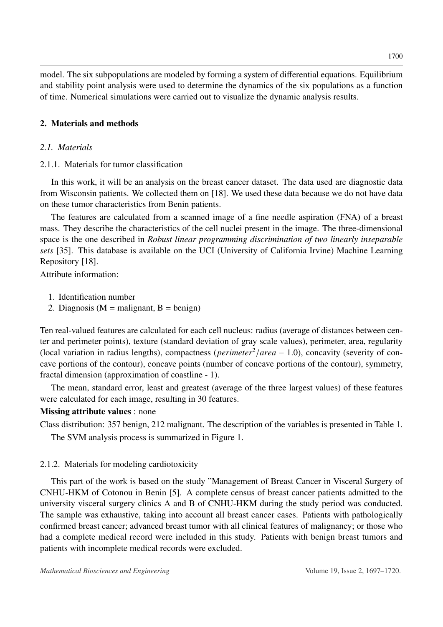model. The six subpopulations are modeled by forming a system of differential equations. Equilibrium and stability point analysis were used to determine the dynamics of the six populations as a function of time. Numerical simulations were carried out to visualize the dynamic analysis results.

# 2. Materials and methods

# *2.1. Materials*

# 2.1.1. Materials for tumor classification

In this work, it will be an analysis on the breast cancer dataset. The data used are diagnostic data from Wisconsin patients. We collected them on [\[18\]](#page-22-1). We used these data because we do not have data on these tumor characteristics from Benin patients.

The features are calculated from a scanned image of a fine needle aspiration (FNA) of a breast mass. They describe the characteristics of the cell nuclei present in the image. The three-dimensional space is the one described in *Robust linear programming discrimination of two linearly inseparable sets* [\[35\]](#page-23-1). This database is available on the UCI (University of California Irvine) Machine Learning Repository [\[18\]](#page-22-1).

Attribute information:

- 1. Identification number
- 2. Diagnosis ( $M =$  malignant,  $B =$  benign)

Ten real-valued features are calculated for each cell nucleus: radius (average of distances between center and perimeter points), texture (standard deviation of gray scale values), perimeter, area, regularity (local variation in radius lengths), compactness (*perimeter<sup>2</sup>*/*area* − 1.0), concavity (severity of con-<br>cave portions of the contour), concave points (number of concave portions of the contour), symmetry cave portions of the contour), concave points (number of concave portions of the contour), symmetry, fractal dimension (approximation of coastline - 1).

The mean, standard error, least and greatest (average of the three largest values) of these features were calculated for each image, resulting in 30 features.

# Missing attribute values : none

Class distribution: 357 benign, 212 malignant. The description of the variables is presented in Table [1.](#page-4-0)

The SVM analysis process is summarized in Figure [1.](#page-5-0)

# 2.1.2. Materials for modeling cardiotoxicity

This part of the work is based on the study "Management of Breast Cancer in Visceral Surgery of CNHU-HKM of Cotonou in Benin [\[5\]](#page-21-4). A complete census of breast cancer patients admitted to the university visceral surgery clinics A and B of CNHU-HKM during the study period was conducted. The sample was exhaustive, taking into account all breast cancer cases. Patients with pathologically confirmed breast cancer; advanced breast tumor with all clinical features of malignancy; or those who had a complete medical record were included in this study. Patients with benign breast tumors and patients with incomplete medical records were excluded.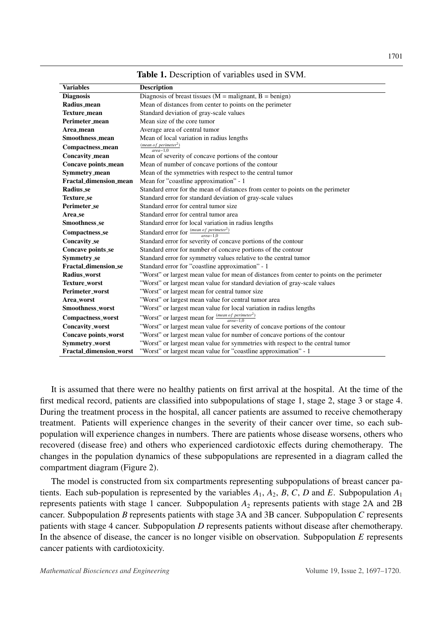<span id="page-4-0"></span>

| <b>Variables</b>               | <b>Description</b>                                                                         |  |
|--------------------------------|--------------------------------------------------------------------------------------------|--|
| <b>Diagnosis</b>               | Diagnosis of breast tissues ( $M =$ malignant, $B =$ benign)                               |  |
| Radius_mean                    | Mean of distances from center to points on the perimeter                                   |  |
| Texture_mean                   | Standard deviation of gray-scale values                                                    |  |
| Perimeter_mean                 | Mean size of the core tumor                                                                |  |
| Area mean                      | Average area of central tumor                                                              |  |
| Smoothness_mean                | Mean of local variation in radius lengths                                                  |  |
| Compactness_mean               | (mean of perimeter <sup>2</sup> )<br>$area-1$ <sup>0</sup>                                 |  |
| Concavity_mean                 | Mean of severity of concave portions of the contour                                        |  |
| Concave points_mean            | Mean of number of concave portions of the contour                                          |  |
| Symmetry_mean                  | Mean of the symmetries with respect to the central tumor                                   |  |
| <b>Fractal_dimension_mean</b>  | Mean for "coastline approximation" - 1                                                     |  |
| <b>Radius</b> se               | Standard error for the mean of distances from center to points on the perimeter            |  |
| <b>Texture</b> se              | Standard error for standard deviation of gray-scale values                                 |  |
| Perimeter_se                   | Standard error for central tumor size                                                      |  |
| Area_se                        | Standard error for central tumor area                                                      |  |
| Smoothness_se                  | Standard error for local variation in radius lengths                                       |  |
| <b>Compactness_se</b>          | Standard error for $\frac{(mean of perimeter^2)}{area-1.0}$                                |  |
| Concavity_se                   | Standard error for severity of concave portions of the contour                             |  |
| Concave points_se              | Standard error for number of concave portions of the contour                               |  |
| Symmetry_se                    | Standard error for symmetry values relative to the central tumor                           |  |
| <b>Fractal_dimension_se</b>    | Standard error for "coastline approximation" - 1                                           |  |
| Radius_worst                   | "Worst" or largest mean value for mean of distances from center to points on the perimeter |  |
| Texture_worst                  | "Worst" or largest mean value for standard deviation of gray-scale values                  |  |
| Perimeter_worst                | "Worst" or largest mean for central tumor size                                             |  |
| Area_worst                     | "Worst" or largest mean value for central tumor area                                       |  |
| <b>Smoothness worst</b>        | "Worst" or largest mean value for local variation in radius lengths                        |  |
| <b>Compactness_worst</b>       | "Worst" or largest mean for $\frac{(mean\ of\ perimeter^2)}{area-1.0}$                     |  |
| Concavity_worst                | "Worst" or largest mean value for severity of concave portions of the contour              |  |
| Concave points_worst           | "Worst" or largest mean value for number of concave portions of the contour                |  |
| Symmetry_worst                 | "Worst" or largest mean value for symmetries with respect to the central tumor             |  |
| <b>Fractal dimension worst</b> | "Worst" or largest mean value for "coastline approximation" - 1                            |  |

Table 1. Description of variables used in SVM.

It is assumed that there were no healthy patients on first arrival at the hospital. At the time of the first medical record, patients are classified into subpopulations of stage 1, stage 2, stage 3 or stage 4. During the treatment process in the hospital, all cancer patients are assumed to receive chemotherapy treatment. Patients will experience changes in the severity of their cancer over time, so each subpopulation will experience changes in numbers. There are patients whose disease worsens, others who recovered (disease free) and others who experienced cardiotoxic effects during chemotherapy. The changes in the population dynamics of these subpopulations are represented in a diagram called the compartment diagram (Figure [2\)](#page-5-1).

The model is constructed from six compartments representing subpopulations of breast cancer patients. Each sub-population is represented by the variables  $A_1$ ,  $A_2$ ,  $B$ ,  $C$ ,  $D$  and  $E$ . Subpopulation  $A_1$ represents patients with stage 1 cancer. Subpopulation  $A_2$  represents patients with stage 2A and 2B cancer. Subpopulation *B* represents patients with stage 3A and 3B cancer. Subpopulation *C* represents patients with stage 4 cancer. Subpopulation *D* represents patients without disease after chemotherapy. In the absence of disease, the cancer is no longer visible on observation. Subpopulation *E* represents cancer patients with cardiotoxicity.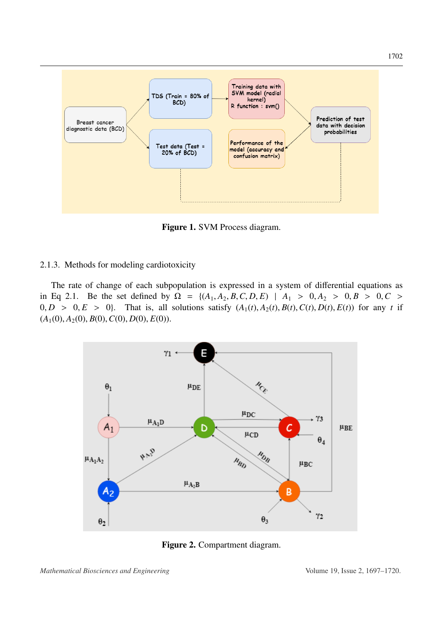<span id="page-5-0"></span>

Figure 1. SVM Process diagram.

### 2.1.3. Methods for modeling cardiotoxicity

The rate of change of each subpopulation is expressed in a system of differential equations as in Eq [2.1.](#page-8-0) Be the set defined by  $\Omega = \{(A_1, A_2, B, C, D, E) | A_1 > 0, A_2 > 0, B > 0, C >$  $0, D > 0, E > 0$ . That is, all solutions satisfy  $(A_1(t), A_2(t), B(t), C(t), D(t), E(t))$  for any *t* if  $(A_1(0), A_2(0), B(0), C(0), D(0), E(0)).$ 

<span id="page-5-1"></span>

Figure 2. Compartment diagram.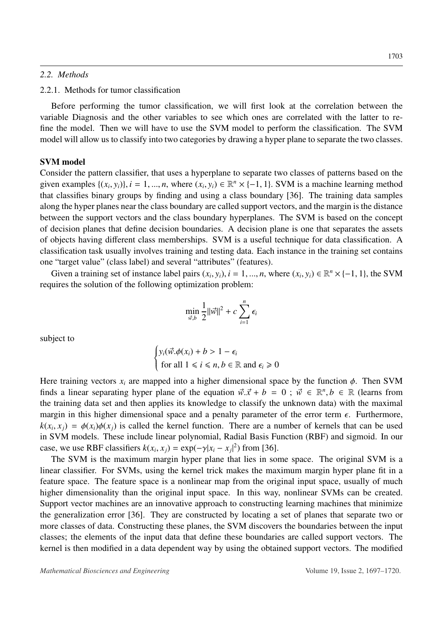### *2.2. Methods*

### 2.2.1. Methods for tumor classification

Before performing the tumor classification, we will first look at the correlation between the variable Diagnosis and the other variables to see which ones are correlated with the latter to refine the model. Then we will have to use the SVM model to perform the classification. The SVM model will allow us to classify into two categories by drawing a hyper plane to separate the two classes.

# SVM model

Consider the pattern classifier, that uses a hyperplane to separate two classes of patterns based on the given examples  $\{(x_i, y_i)\}\$ ,  $i = 1, ..., n$ , where  $(x_i, y_i) \in \mathbb{R}^n \times \{-1, 1\}$ . SVM is a machine learning method<br>that classifies hinary groups by finding and using a class houndary [36]. The training data samples that classifies binary groups by finding and using a class boundary [\[36\]](#page-23-2). The training data samples along the hyper planes near the class boundary are called support vectors, and the margin is the distance between the support vectors and the class boundary hyperplanes. The SVM is based on the concept of decision planes that define decision boundaries. A decision plane is one that separates the assets of objects having different class memberships. SVM is a useful technique for data classification. A classification task usually involves training and testing data. Each instance in the training set contains one "target value" (class label) and several "attributes" (features).

Given a training set of instance label pairs  $(x_i, y_i)$ ,  $i = 1, ..., n$ , where  $(x_i, y_i) \in \mathbb{R}^n \times \{-1, 1\}$ , the SVM using the solution of the following optimization problem: requires the solution of the following optimization problem:

$$
\min_{\vec{w},b} \frac{1}{2} ||\vec{w}||^2 + c \sum_{i=1}^n \epsilon_i
$$

subject to

$$
\begin{cases} y_i(\vec{w}.\phi(x_i) + b > 1 - \epsilon_i \\ \text{for all } 1 \le i \le n, b \in \mathbb{R} \text{ and } \epsilon_i \ge 0 \end{cases}
$$

Here training vectors  $x_i$  are mapped into a higher dimensional space by the function  $\phi$ . Then SVM finds a linear separating hyper plane of the equation  $\vec{w} \cdot \vec{x} + b = 0$ ;  $\vec{w} \in \mathbb{R}^n, b \in \mathbb{R}$  (learns from the training data set and then applies its knowledge to classify the unknown data) with the maximal the training data set and then applies its knowledge to classify the unknown data) with the maximal margin in this higher dimensional space and a penalty parameter of the error term  $\epsilon$ . Furthermore,  $k(x_i, x_j) = \phi(x_i)\phi(x_j)$  is called the kernel function. There are a number of kernels that can be used<br>in SVM models. These include linear polynomial. Padial Basis Function (PBF) and sigmoid. In our in SVM models. These include linear polynomial, Radial Basis Function (RBF) and sigmoid. In our case, we use RBF classifiers  $k(x_i, x_j) = \exp(-\gamma |x_i - x_j|^2)$  from [\[36\]](#page-23-2).<br>The SVM is the maximum margin byper plane that lies in so

The SVM is the maximum margin hyper plane that lies in some space. The original SVM is a linear classifier. For SVMs, using the kernel trick makes the maximum margin hyper plane fit in a feature space. The feature space is a nonlinear map from the original input space, usually of much higher dimensionality than the original input space. In this way, nonlinear SVMs can be created. Support vector machines are an innovative approach to constructing learning machines that minimize the generalization error [\[36\]](#page-23-2). They are constructed by locating a set of planes that separate two or more classes of data. Constructing these planes, the SVM discovers the boundaries between the input classes; the elements of the input data that define these boundaries are called support vectors. The kernel is then modified in a data dependent way by using the obtained support vectors. The modified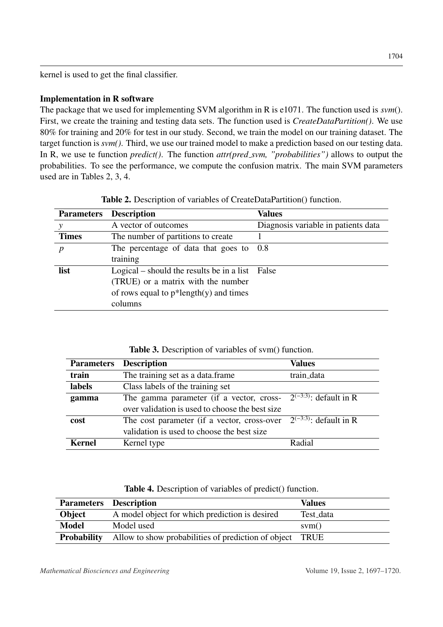kernel is used to get the final classifier.

# Implementation in R software

The package that we used for implementing SVM algorithm in R is e1071. The function used is *svm*(). First, we create the training and testing data sets. The function used is *CreateDataPartition()*. We use 80% for training and 20% for test in our study. Second, we train the model on our training dataset. The target function is *svm()*. Third, we use our trained model to make a prediction based on our testing data. In R, we use te function *predict()*. The function *attr(pred svm, "probabilities")* allows to output the probabilities. To see the performance, we compute the confusion matrix. The main SVM parameters used are in Tables [2,](#page-7-0) [3,](#page-7-1) [4.](#page-7-2)

<span id="page-7-0"></span>

|              | <b>Parameters</b> Description                   | Values                              |
|--------------|-------------------------------------------------|-------------------------------------|
|              | A vector of outcomes                            | Diagnosis variable in patients data |
| <b>Times</b> | The number of partitions to create              |                                     |
| p            | The percentage of data that goes to             | - 0.8                               |
|              | training                                        |                                     |
| list         | Logical – should the results be in a list False |                                     |
|              | (TRUE) or a matrix with the number              |                                     |
|              | of rows equal to $p^*$ length $(y)$ and times   |                                     |
|              | columns                                         |                                     |

Table 2. Description of variables of CreateDataPartition() function.

<span id="page-7-1"></span>

| <b>Parameters</b> | <b>Description</b>                              | <b>Values</b>               |
|-------------------|-------------------------------------------------|-----------------------------|
| train             | The training set as a data.frame                | train_data                  |
| labels            | Class labels of the training set                |                             |
| gamma             | The gamma parameter (if a vector, cross-        | $2^{(-3:3)}$ : default in R |
|                   | over validation is used to choose the best size |                             |
| cost              | The cost parameter (if a vector, cross-over     | $2^{(-3:3)}$ : default in R |
|                   | validation is used to choose the best size      |                             |
| Kernel            | Kernel type                                     | Radial                      |

|  |  | <b>Table 4.</b> Description of variables of predict() function. |  |  |
|--|--|-----------------------------------------------------------------|--|--|
|--|--|-----------------------------------------------------------------|--|--|

<span id="page-7-2"></span>

|                    | <b>Parameters Description</b>                            | <b>Values</b> |
|--------------------|----------------------------------------------------------|---------------|
| Object             | A model object for which prediction is desired           | Test_data     |
| <b>Model</b>       | Model used                                               | sym()         |
| <b>Probability</b> | Allow to show probabilities of prediction of object TRUE |               |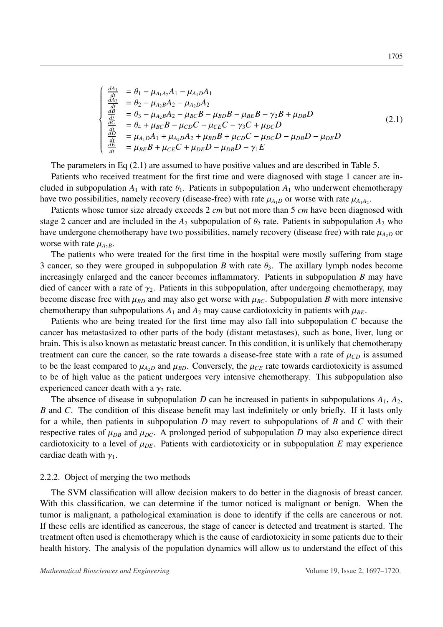<span id="page-8-0"></span>
$$
\begin{cases}\n\frac{dA_1}{dt} &= \theta_1 - \mu_{A_1A_2}A_1 - \mu_{A_1D}A_1 \\
\frac{dA_2}{dt} &= \theta_2 - \mu_{A_2B}A_2 - \mu_{A_2D}A_2 \\
\frac{dB}{dt} &= \theta_3 - \mu_{A_2B}A_2 - \mu_{BC}B - \mu_{BD}B - \mu_{BE}B - \gamma_2B + \mu_{DB}D \\
\frac{dC}{dt} &= \theta_4 + \mu_{BC}B - \mu_{CD}C - \mu_{CE}C - \gamma_3C + \mu_{DC}D \\
\frac{dD}{dt} &= \mu_{A_1D}A_1 + \mu_{A_2D}A_2 + \mu_{BD}B + \mu_{CD}C - \mu_{DC}D - \mu_{DB}D - \mu_{DE}D \\
\frac{dE}{dt} &= \mu_{BE}B + \mu_{CE}C + \mu_{DE}D - \mu_{DB}D - \gamma_1E\n\end{cases}
$$
\n(2.1)

The parameters in Eq  $(2.1)$  are assumed to have positive values and are described in Table [5.](#page-9-0)

Patients who received treatment for the first time and were diagnosed with stage 1 cancer are included in subpopulation  $A_1$  with rate  $\theta_1$ . Patients in subpopulation  $A_1$  who underwent chemotherapy have two possibilities, namely recovery (disease-free) with rate  $\mu_{A_1D}$  or worse with rate  $\mu_{A_1A_2}$ .

Patients whose tumor size already exceeds 2 *cm* but not more than 5 *cm* have been diagnosed with stage 2 cancer and are included in the  $A_2$  subpopulation of  $\theta_2$  rate. Patients in subpopulation  $A_2$  who have undergone chemotherapy have two possibilities, namely recovery (disease free) with rate  $\mu_{A2}$  or worse with rate  $\mu_{A_2B}$ .

The patients who were treated for the first time in the hospital were mostly suffering from stage 3 cancer, so they were grouped in subpopulation *B* with rate  $\theta_3$ . The axillary lymph nodes become increasingly enlarged and the cancer becomes inflammatory. Patients in subpopulation *B* may have died of cancer with a rate of  $\gamma_2$ . Patients in this subpopulation, after undergoing chemotherapy, may become disease free with  $\mu_{BD}$  and may also get worse with  $\mu_{BC}$ . Subpopulation *B* with more intensive chemotherapy than subpopulations  $A_1$  and  $A_2$  may cause cardiotoxicity in patients with  $\mu_{BE}$ .

Patients who are being treated for the first time may also fall into subpopulation *C* because the cancer has metastasized to other parts of the body (distant metastases), such as bone, liver, lung or brain. This is also known as metastatic breast cancer. In this condition, it is unlikely that chemotherapy treatment can cure the cancer, so the rate towards a disease-free state with a rate of  $\mu_{CD}$  is assumed to be the least compared to  $\mu_{A2}$  and  $\mu_{BD}$ . Conversely, the  $\mu_{CE}$  rate towards cardiotoxicity is assumed to be of high value as the patient undergoes very intensive chemotherapy. This subpopulation also experienced cancer death with a  $\gamma_3$  rate.

The absence of disease in subpopulation *D* can be increased in patients in subpopulations  $A_1$ ,  $A_2$ , *B* and *C*. The condition of this disease benefit may last indefinitely or only briefly. If it lasts only for a while, then patients in subpopulation *D* may revert to subpopulations of *B* and *C* with their respective rates of  $\mu_{DB}$  and  $\mu_{DC}$ . A prolonged period of subpopulation *D* may also experience direct cardiotoxicity to a level of  $\mu_{DE}$ . Patients with cardiotoxicity or in subpopulation *E* may experience cardiac death with  $\gamma_1$ .

#### 2.2.2. Object of merging the two methods

The SVM classification will allow decision makers to do better in the diagnosis of breast cancer. With this classification, we can determine if the tumor noticed is malignant or benign. When the tumor is malignant, a pathological examination is done to identify if the cells are cancerous or not. If these cells are identified as cancerous, the stage of cancer is detected and treatment is started. The treatment often used is chemotherapy which is the cause of cardiotoxicity in some patients due to their health history. The analysis of the population dynamics will allow us to understand the effect of this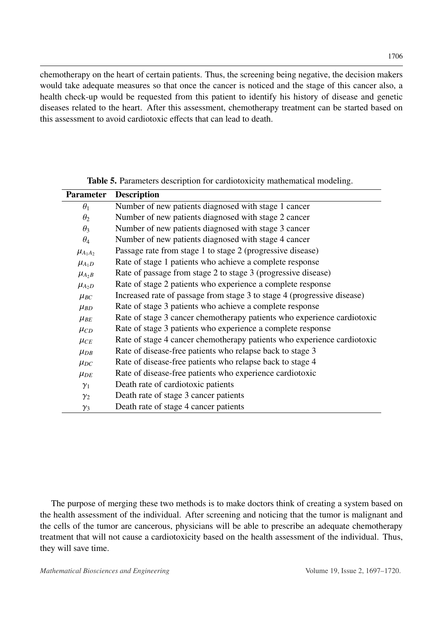chemotherapy on the heart of certain patients. Thus, the screening being negative, the decision makers would take adequate measures so that once the cancer is noticed and the stage of this cancer also, a health check-up would be requested from this patient to identify his history of disease and genetic diseases related to the heart. After this assessment, chemotherapy treatment can be started based on this assessment to avoid cardiotoxic effects that can lead to death.

<span id="page-9-0"></span>

| <b>Parameter</b> | <b>Description</b>                                                      |  |
|------------------|-------------------------------------------------------------------------|--|
| $\theta_1$       | Number of new patients diagnosed with stage 1 cancer                    |  |
| $\theta_2$       | Number of new patients diagnosed with stage 2 cancer                    |  |
| $\theta_3$       | Number of new patients diagnosed with stage 3 cancer                    |  |
| $\theta_4$       | Number of new patients diagnosed with stage 4 cancer                    |  |
| $\mu_{A_1A_2}$   | Passage rate from stage 1 to stage 2 (progressive disease)              |  |
| $\mu_{A_1D}$     | Rate of stage 1 patients who achieve a complete response                |  |
| $\mu_{A_2B}$     | Rate of passage from stage 2 to stage 3 (progressive disease)           |  |
| $\mu_{A_2D}$     | Rate of stage 2 patients who experience a complete response             |  |
| $\mu_{BC}$       | Increased rate of passage from stage 3 to stage 4 (progressive disease) |  |
| $\mu_{BD}$       | Rate of stage 3 patients who achieve a complete response                |  |
| $\mu_{BE}$       | Rate of stage 3 cancer chemotherapy patients who experience cardiotoxic |  |
| $\mu_{CD}$       | Rate of stage 3 patients who experience a complete response             |  |
| $\mu_{CE}$       | Rate of stage 4 cancer chemotherapy patients who experience cardiotoxic |  |
| $\mu_{DB}$       | Rate of disease-free patients who relapse back to stage 3               |  |
| $\mu_{DC}$       | Rate of disease-free patients who relapse back to stage 4               |  |
| $\mu_{DE}$       | Rate of disease-free patients who experience cardiotoxic                |  |
| $\gamma_1$       | Death rate of cardiotoxic patients                                      |  |
| $\gamma_2$       | Death rate of stage 3 cancer patients                                   |  |
| $\gamma_3$       | Death rate of stage 4 cancer patients                                   |  |
|                  |                                                                         |  |

Table 5. Parameters description for cardiotoxicity mathematical modeling.

The purpose of merging these two methods is to make doctors think of creating a system based on the health assessment of the individual. After screening and noticing that the tumor is malignant and the cells of the tumor are cancerous, physicians will be able to prescribe an adequate chemotherapy treatment that will not cause a cardiotoxicity based on the health assessment of the individual. Thus, they will save time.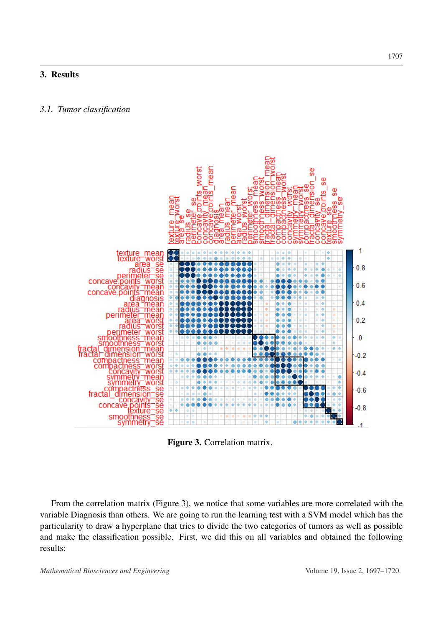# 3. Results

### *3.1. Tumor classification*

<span id="page-10-0"></span>

Figure 3. Correlation matrix.

From the correlation matrix (Figure [3\)](#page-10-0), we notice that some variables are more correlated with the variable Diagnosis than others. We are going to run the learning test with a SVM model which has the particularity to draw a hyperplane that tries to divide the two categories of tumors as well as possible and make the classification possible. First, we did this on all variables and obtained the following results: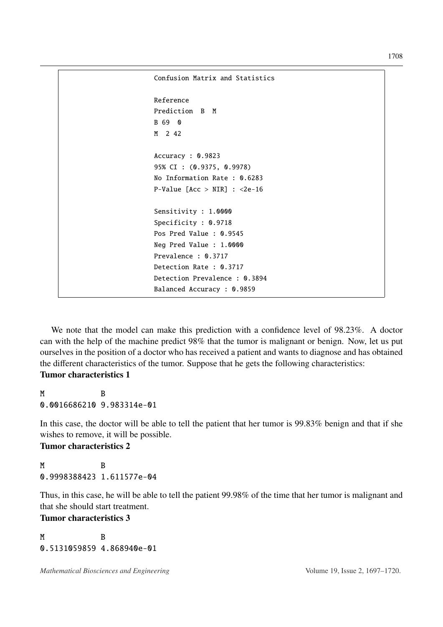```
Confusion Matrix and Statistics
Reference
Prediction B M
B 69 0
M 2 42
Accuracy : 0.9823
95% CI : (0.9375, 0.9978)
No Information Rate : 0.6283
P-Value [Acc > NIR] : <2e-16Sensitivity : 1.0000
Specificity : 0.9718
Pos Pred Value : 0.9545
Neg Pred Value : 1.0000
Prevalence : 0.3717
Detection Rate : 0.3717
Detection Prevalence : 0.3894
Balanced Accuracy : 0.9859
```
We note that the model can make this prediction with a confidence level of 98.23%. A doctor can with the help of the machine predict 98% that the tumor is malignant or benign. Now, let us put ourselves in the position of a doctor who has received a patient and wants to diagnose and has obtained the different characteristics of the tumor. Suppose that he gets the following characteristics: Tumor characteristics 1

M B 0.0016686210 9.983314e-01

In this case, the doctor will be able to tell the patient that her tumor is 99.83% benign and that if she wishes to remove, it will be possible.

Tumor characteristics 2

M B 0.9998388423 1.611577e-04

Thus, in this case, he will be able to tell the patient 99.98% of the time that her tumor is malignant and that she should start treatment.

Tumor characteristics 3

M B 0.5131059859 4.868940e-01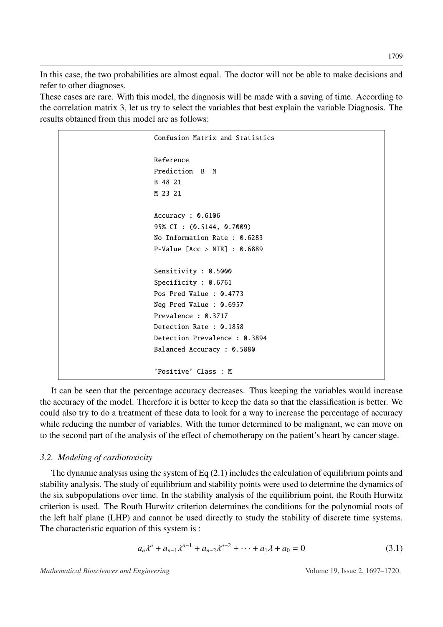In this case, the two probabilities are almost equal. The doctor will not be able to make decisions and refer to other diagnoses.

These cases are rare. With this model, the diagnosis will be made with a saving of time. According to the correlation matrix [3,](#page-10-0) let us try to select the variables that best explain the variable Diagnosis. The results obtained from this model are as follows:

> Confusion Matrix and Statistics Reference Prediction B M B 48 21 M 23 21 Accuracy : 0.6106 95% CI : (0.5144, 0.7009) No Information Rate : 0.6283 P-Value [Acc > NIR] : 0.6889 Sensitivity : 0.5000 Specificity : 0.6761 Pos Pred Value : 0.4773 Neg Pred Value : 0.6957 Prevalence : 0.3717 Detection Rate : 0.1858 Detection Prevalence : 0.3894 Balanced Accuracy : 0.5880 'Positive' Class : M

It can be seen that the percentage accuracy decreases. Thus keeping the variables would increase the accuracy of the model. Therefore it is better to keep the data so that the classification is better. We could also try to do a treatment of these data to look for a way to increase the percentage of accuracy while reducing the number of variables. With the tumor determined to be malignant, we can move on to the second part of the analysis of the effect of chemotherapy on the patient's heart by cancer stage.

# *3.2. Modeling of cardiotoxicity*

The dynamic analysis using the system of Eq [\(2.1\)](#page-8-0) includes the calculation of equilibrium points and stability analysis. The study of equilibrium and stability points were used to determine the dynamics of the six subpopulations over time. In the stability analysis of the equilibrium point, the Routh Hurwitz criterion is used. The Routh Hurwitz criterion determines the conditions for the polynomial roots of the left half plane (LHP) and cannot be used directly to study the stability of discrete time systems. The characteristic equation of this system is :

$$
a_n \lambda^n + a_{n-1} \lambda^{n-1} + a_{n-2} \lambda^{n-2} + \dots + a_1 \lambda + a_0 = 0
$$
 (3.1)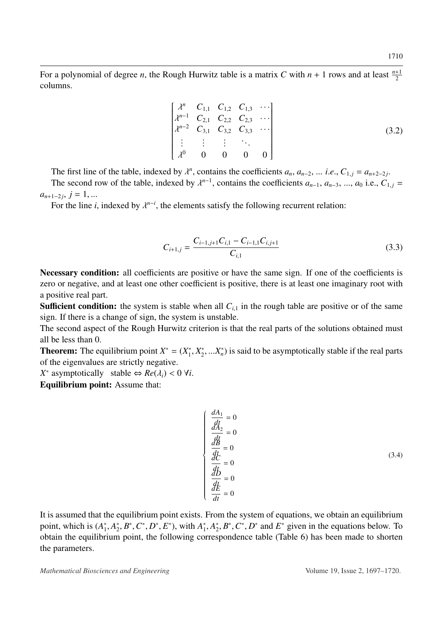For a polynomial of degree *n*, the Rough Hurwitz table is a matrix *C* with  $n + 1$  rows and at least  $\frac{n+1}{2}$ columns.

$$
\begin{bmatrix}\n\lambda^n & C_{1,1} & C_{1,2} & C_{1,3} & \cdots \\
\lambda^{n-1} & C_{2,1} & C_{2,2} & C_{2,3} & \cdots \\
\lambda^{n-2} & C_{3,1} & C_{3,2} & C_{3,3} & \cdots \\
\vdots & \vdots & \vdots & \ddots & \\
\lambda^0 & 0 & 0 & 0 & 0\n\end{bmatrix}
$$
\n(3.2)

The first line of the table, indexed by  $\lambda^n$ , contains the coefficients  $a_n$ ,  $a_{n-2}$ , ... *i.e.*,  $C_{1,j} = a_{n+2-2j}$ .<br>The second row of the table, indexed by  $\lambda^{n-1}$ , contains the coefficients  $a_{n-1}$ ,  $a_{n-1}$ ,  $a_{n$ 

The second row of the table, indexed by  $\lambda^{n-1}$ , contains the coefficients  $a_{n-1}, a_{n-3}, ..., a_0$  i.e.,  $C_{1,j} =$  $a_{n+1-2j}, j = 1, ...$ <br>For the line *i* 

For the line *i*, indexed by  $\lambda^{n-i}$ , the elements satisfy the following recurrent relation:

$$
C_{i+1,j} = \frac{C_{i-1,j+1}C_{i,1} - C_{i-1,1}C_{i,j+1}}{C_{i,1}}
$$
\n(3.3)

Necessary condition: all coefficients are positive or have the same sign. If one of the coefficients is zero or negative, and at least one other coefficient is positive, there is at least one imaginary root with a positive real part.

**Sufficient condition:** the system is stable when all  $C_{i,1}$  in the rough table are positive or of the same sign. If there is a change of sign, the system is unstable.

The second aspect of the Rough Hurwitz criterion is that the real parts of the solutions obtained must all be less than 0.

**Theorem:** The equilibrium point  $X^* = (X_1^*)$  $i<sub>1</sub><sup>*</sup>, X<sub>2</sub><sup>*</sup>$  $x_2^*,...x_n^*$  is said to be asymptotically stable if the real parts of the eigenvalues are strictly negative.

 $\sqrt{ }$ 

*X*<sup>\*</sup> asymptotically stable  $\Leftrightarrow$  *Re*( $\lambda_i$ ) < 0  $\forall i$ .

Equilibrium point: Assume that:

$$
\frac{dA_1}{dt} = 0
$$
\n
$$
\frac{dA_2}{dt} = 0
$$
\n
$$
\frac{dE}{dt} = 0
$$
\n
$$
\frac{dE}{dt} = 0
$$
\n(3.4)\n
$$
\frac{dE}{dt} = 0
$$

It is assumed that the equilibrium point exists. From the system of equations, we obtain an equilibrium point, which is (*A* ∗ 1 , *A* ∗  $x_2^*, B^*, C^*, D^*, E^*$ , with  $A_1^*$ <sup>\*</sup><sub>1</sub></sub>,  $A_2^*$  $x_2^*, B^*, C^*, D^*$  and  $E^*$  given in the equations below. To<br>spondence table (Table 6) has been made to shorten obtain the equilibrium point, the following correspondence table (Table [6\)](#page-14-0) has been made to shorten the parameters.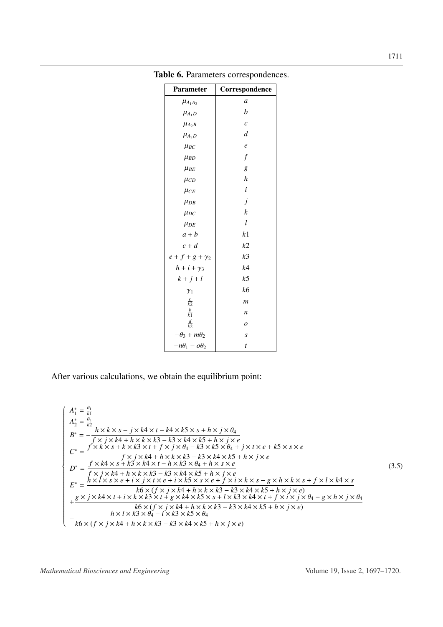| Parameter               | Correspondence    |
|-------------------------|-------------------|
| $\mu_{A_1A_2}$          | $\mathfrak a$     |
| $\mu_{A_1D}$            | $\boldsymbol{b}$  |
| $\mu_{A_2B}$            | $\mathcal{C}_{0}$ |
| $\mu_{A_2D}$            | $\overline{d}$    |
| $\mu_{BC}$              | $\boldsymbol{e}$  |
| $\mu_{BD}$              | $\boldsymbol{f}$  |
| $\mu_{BE}$              | g                 |
| $\mu_{CD}$              | $\boldsymbol{h}$  |
| $\mu_{CE}$              | $\dot{i}$         |
| $\mu_{DB}$              | j                 |
| $\mu_{DC}$              | $\boldsymbol{k}$  |
| $\mu_{DE}$              | $\mathfrak l$     |
| $a + b$                 | k1                |
| $c + d$                 | k2                |
| $e + f + g + \gamma_2$  | k <sub>3</sub>    |
| $h + i + \gamma_3$      | k4                |
| $k+j+l$                 | $k$ 5             |
| $\gamma_1$              | k6                |
| $rac{c}{k^2}$           | $\mathfrak{m}$    |
| $rac{b}{k1}$            | $\boldsymbol{n}$  |
| $rac{d}{k}$             | $\boldsymbol{o}$  |
| $-\theta_3 + m\theta_2$ | $\boldsymbol{S}$  |
| $-n\theta_1 - \omega_2$ | $\boldsymbol{t}$  |

<span id="page-14-0"></span>Table 6. Parameters correspondences.

After various calculations, we obtain the equilibrium point:

$$
\begin{cases}\nA_{1}^{*} = \frac{\theta_{1}}{k1} \\
A_{2}^{*} = \frac{\theta_{2}}{k2} \\
B^{*} = -\frac{h \times k \times s - j \times k4 \times t - k4 \times k5 \times s + h \times j \times \theta_{4}}{f \times j \times k4 + h \times k \times k3 - k3 \times k4 \times k5 + h \times j \times e} \\
C^{*} = \frac{f' \times k \times s + k \times k3 \times t + f \times j \times \theta_{4} - k3 \times k5 \times \theta_{4} + j \times t \times e + k5 \times s \times e}{f \times j \times k4 + h \times k \times k3 - k3 \times k4 \times k5 + h \times j \times e} \\
D^{*} = \frac{f \times k4 \times s + k3 \times k4 \times t - h \times k3 \times \theta_{4} + h \times s \times e}{f \times j \times k4 + h \times k \times k3 - k3 \times k4 \times k5 + h \times j \times e} \\
E^{*} = \frac{h \times l \times s \times e + i \times j \times t \times e + i \times k5 \times s \times e + f \times i \times k \times s - g \times h \times k \times s + f \times l \times k4 \times s}{k6 \times (f \times j \times k4 + h \times k \times k3 - k3 \times k4 \times k5 + h \times j \times e)} \\
+ \frac{g \times j \times k4 \times t + i \times k \times k3 \times t + g \times k4 \times k5 \times s + l \times k3 \times k4 \times k5 + h \times j \times e}{k6 \times (f \times j \times k4 + h \times k \times k3 - k3 \times k4 \times k5 + h \times j \times e} \\
-\frac{h \times l \times k3 \times \theta_{4} - i \times k3 \times k5 \times \theta_{4}}{k6 \times (f \times j \times k4 + h \times k \times k3 - k3 \times k4 \times k5 + h \times j \times e} \\
\end{cases} (3.5)
$$

*Mathematical Biosciences and Engineering* Volume 19, Issue 2, 1697–1720.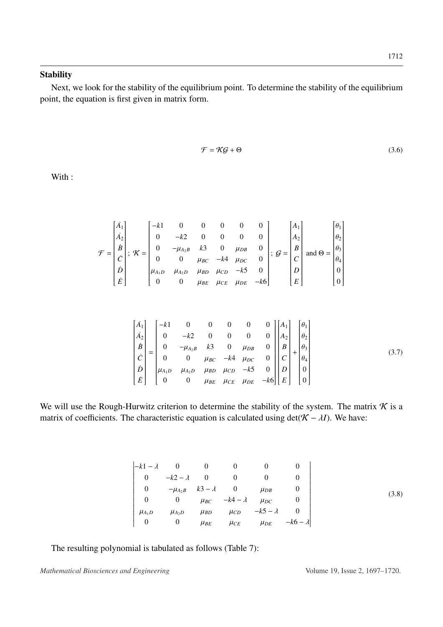### **Stability**

Next, we look for the stability of the equilibrium point. To determine the stability of the equilibrium point, the equation is first given in matrix form.

$$
\mathcal{F} = \mathcal{KG} + \Theta \tag{3.6}
$$

With :

$$
\mathcal{F} = \begin{bmatrix} A_1 \\ A_2 \\ B \\ C \\ D \\ E \end{bmatrix}; \ \mathcal{K} = \begin{bmatrix} -k1 & 0 & 0 & 0 & 0 & 0 \\ 0 & -k2 & 0 & 0 & 0 & 0 \\ 0 & -\mu_{A_2B} & k3 & 0 & \mu_{DB} & 0 \\ 0 & 0 & \mu_{BC} & -k4 & \mu_{DC} & 0 \\ \mu_{A_1D} & \mu_{A_2D} & \mu_{BD} & \mu_{CD} & -k5 & 0 \\ 0 & 0 & \mu_{BE} & \mu_{CE} & \mu_{DE} & -k6 \end{bmatrix}; \ \mathcal{G} = \begin{bmatrix} A_1 \\ A_2 \\ B \\ C \\ C \\ D \\ E \end{bmatrix} \text{ and } \Theta = \begin{bmatrix} \theta_1 \\ \theta_2 \\ \theta_3 \\ \theta_4 \\ 0 \\ 0 \end{bmatrix}
$$

$$
\begin{bmatrix} \dot{A}_1 \\ \dot{A}_2 \\ \dot{B} \\ \dot{C} \\ \dot{D} \\ \dot{E} \end{bmatrix} = \begin{bmatrix} -k1 & 0 & 0 & 0 & 0 & 0 \\ 0 & -k2 & 0 & 0 & 0 & 0 \\ 0 & -\mu_{A_2B} & k3 & 0 & \mu_{DB} & 0 \\ 0 & 0 & \mu_{BC} & -k4 & \mu_{DC} & 0 \\ 0 & 0 & \mu_{BC} & -k4 & \mu_{DC} & 0 \\ 0 & 0 & \mu_{BE} & \mu_{CD} & -k5 & 0 \\ 0 & 0 & \mu_{BE} & \mu_{CE} & \mu_{DE} & -k6 \end{bmatrix} \begin{bmatrix} A_1 \\ A_2 \\ B \\ B \\ C \\ D \\ E \end{bmatrix} + \begin{bmatrix} \theta_1 \\ \theta_2 \\ \theta_3 \\ \theta_4 \\ 0 \\ 0 \\ 0 \end{bmatrix}
$$
 (3.7)

We will use the Rough-Hurwitz criterion to determine the stability of the system. The matrix  $\mathcal K$  is a matrix of coefficients. The characteristic equation is calculated using  $det(\mathcal{K} - \lambda I)$ . We have:

$$
\begin{vmatrix} -k1 - \lambda & 0 & 0 & 0 & 0 & 0 \\ 0 & -k2 - \lambda & 0 & 0 & 0 & 0 \\ 0 & -\mu_{A_2B} & k3 - \lambda & 0 & \mu_{DB} & 0 \\ 0 & 0 & \mu_{BC} & -k4 - \lambda & \mu_{DC} & 0 \\ \mu_{A_1D} & \mu_{A_2D} & \mu_{BD} & \mu_{CD} & -k5 - \lambda & 0 \\ 0 & 0 & \mu_{BE} & \mu_{CE} & \mu_{DE} & -k6 - \lambda \end{vmatrix}
$$
 (3.8)

The resulting polynomial is tabulated as follows (Table [7\)](#page-16-0):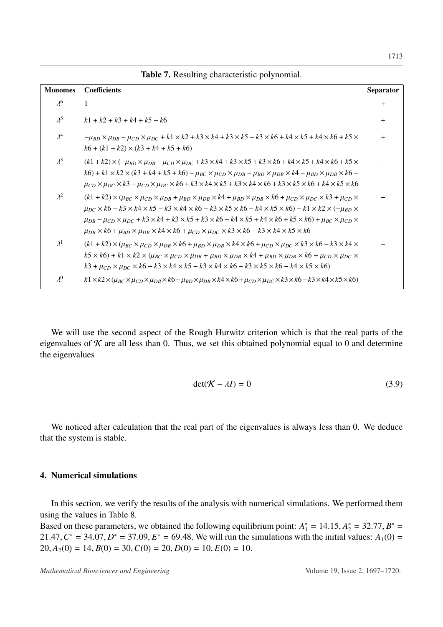<span id="page-16-0"></span>

| <b>Monomes</b> | <b>Coefficients</b>                                                                                                                                                                                                                                                                                                                                                                                                                                                                                                                                                                                                                                                                                  | <b>Separator</b> |
|----------------|------------------------------------------------------------------------------------------------------------------------------------------------------------------------------------------------------------------------------------------------------------------------------------------------------------------------------------------------------------------------------------------------------------------------------------------------------------------------------------------------------------------------------------------------------------------------------------------------------------------------------------------------------------------------------------------------------|------------------|
| $\lambda^6$    | 1                                                                                                                                                                                                                                                                                                                                                                                                                                                                                                                                                                                                                                                                                                    | $^{+}$           |
| $\lambda^5$    | $k1 + k2 + k3 + k4 + k5 + k6$                                                                                                                                                                                                                                                                                                                                                                                                                                                                                                                                                                                                                                                                        | $\pm$            |
| $\lambda^4$    | $-\mu_{BD} \times \mu_{DB} - \mu_{CD} \times \mu_{DC} + k1 \times k2 + k3 \times k4 + k3 \times k5 + k3 \times k6 + k4 \times k5 + k4 \times k6 + k5 \times k$<br>$k6 + (k1 + k2) \times (k3 + k4 + k5 + k6)$                                                                                                                                                                                                                                                                                                                                                                                                                                                                                        | $^{+}$           |
| $\lambda^3$    | $(k1+k2)\times(-\mu_{BD}\times\mu_{DB}-\mu_{CD}\times\mu_{DC}+k3\times k4+k3\times k5+k3\times k6+k4\times k5+k4\times k6+k5\times$<br>$k6 + k1 \times k2 \times (k3 + k4 + k5 + k6) - \mu_{BC} \times \mu_{CD} \times \mu_{DB} - \mu_{BD} \times \mu_{DB} \times k4 - \mu_{BD} \times \mu_{DB} \times k6 -$<br>$\mu_{CD} \times \mu_{DC} \times k3 - \mu_{CD} \times \mu_{DC} \times k6 + k3 \times k4 \times k5 + k3 \times k4 \times k6 + k3 \times k5 \times k6 + k4 \times k5 \times k6$                                                                                                                                                                                                        |                  |
| $\lambda^2$    | $(k1 + k2) \times (\mu_{BC} \times \mu_{CD} \times \mu_{DB} + \mu_{BD} \times \mu_{DB} \times k4 + \mu_{BD} \times \mu_{DB} \times k6 + \mu_{CD} \times \mu_{DC} \times k3 + \mu_{CD} \times$<br>$\mu_{DC} \times k6 - k3 \times k4 \times k5 - k3 \times k4 \times k6 - k3 \times k5 \times k6 - k4 \times k5 \times k6 - k1 \times k2 \times (-\mu_{BD} \times$<br>$\mu_{DB}$ – $\mu_{CD}$ × $\mu_{DC}$ + $k3 \times k4$ + $k3 \times k5$ + $k3 \times k6$ + $k4 \times k5$ + $k4 \times k6$ + $k5 \times k6$ + $\mu_{BC}$ × $\mu_{CD}$ ×<br>$\mu_{DB} \times k6 + \mu_{BD} \times \mu_{DB} \times k4 \times k6 + \mu_{CD} \times \mu_{DC} \times k3 \times k6 - k3 \times k4 \times k5 \times k6$ |                  |
| $\lambda^1$    | $(k1 + k2) \times (\mu_{BC} \times \mu_{CD} \times \mu_{DB} \times k6 + \mu_{BD} \times \mu_{DB} \times k4 \times k6 + \mu_{CD} \times \mu_{DC} \times k3 \times k6 - k3 \times k4 \times k6$<br>$k$ 5 $\times$ k6) + k1 $\times$ k2 $\times$ ( $\mu_{BC}$ $\times$ $\mu_{CD}$ $\times$ $\mu_{DB}$ $\times$ $\mu_{DB}$ $\times$ k4 + $\mu_{BD}$ $\times$ $\mu_{DB}$ $\times$ k6 + $\mu_{CD}$ $\times$ $\mu_{DC}$ $\times$<br>$k3 + \mu_{CD} \times \mu_{DC} \times k6 - k3 \times k4 \times k5 - k3 \times k4 \times k6 - k3 \times k5 \times k6 - k4 \times k5 \times k6)$                                                                                                                          |                  |
| $\lambda^0$    | $k1 \times k2 \times (\mu_{BC} \times \mu_{CD} \times \mu_{DB} \times k6 + \mu_{BD} \times \mu_{DB} \times k4 \times k6 + \mu_{CD} \times \mu_{DC} \times k3 \times k6 - k3 \times k4 \times k5 \times k6)$                                                                                                                                                                                                                                                                                                                                                                                                                                                                                          |                  |

Table 7. Resulting characteristic polynomial.

We will use the second aspect of the Rough Hurwitz criterion which is that the real parts of the eigenvalues of  $K$  are all less than 0. Thus, we set this obtained polynomial equal to 0 and determine the eigenvalues

$$
\det(\mathcal{K} - \lambda I) = 0 \tag{3.9}
$$

We noticed after calculation that the real part of the eigenvalues is always less than 0. We deduce that the system is stable.

### 4. Numerical simulations

In this section, we verify the results of the analysis with numerical simulations. We performed them using the values in Table [8.](#page-17-0)

Based on these parameters, we obtained the following equilibrium point:  $A_1^* = 14.15$ ,  $A_2^* = 32.77$ ,  $B^* = 21.47$   $C^* = 34.07$   $D^* = 37.09$   $F^* = 69.48$  We will run the simulations with the initial values:  $A_2(0) =$ 21.47,  $C^* = 34.07$ ,  $D^* = 37.09$ ,  $E^* = 69.48$ . We will run the simulations with the initial values:  $A_1(0) = 20$ ,  $A_2(0) = 14$ ,  $B(0) = 30$ ,  $C(0) = 20$ ,  $D(0) = 10$ ,  $E(0) = 10$  $20, A_2(0) = 14, B(0) = 30, C(0) = 20, D(0) = 10, E(0) = 10.$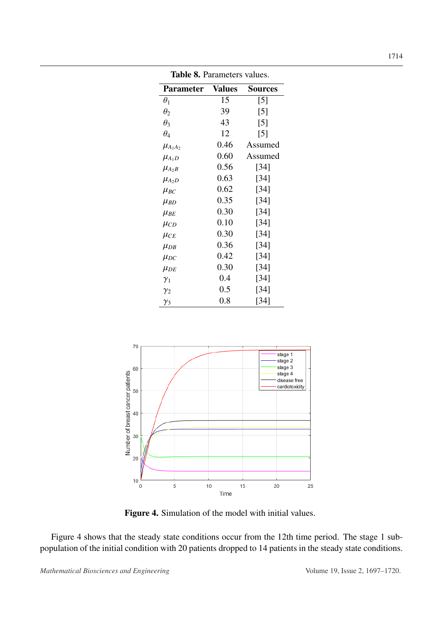<span id="page-17-0"></span>

| <b>Table 8.</b> Parameters values. |         |                   |
|------------------------------------|---------|-------------------|
| Parameter                          | Values  | <b>Sources</b>    |
| $\theta_1$                         | 15      | [5]               |
| $\theta_2$                         | 39      | $\lceil 5 \rceil$ |
| $\theta_3$                         | 43      | $\lceil 5 \rceil$ |
| $\theta_4$                         | 12      | $\lceil 5 \rceil$ |
| $\mu_{A_1A_2}$                     | 0.46    | Assumed           |
| $\mu_{A_1D}$                       | 0.60    | Assumed           |
| $\mu_{A_2B}$                       | 0.56    | [34]              |
| $\mu_{A_2D}$                       | 0.63    | [34]              |
| $\mu_{BC}$                         | 0.62    | [34]              |
| $\mu_{BD}$                         | 0.35    | [34]              |
| $\mu_{BE}$                         | 0.30    | $[34]$            |
| $\mu_{CD}$                         | 0.10    | $[34]$            |
| $\mu_{CE}$                         | 0.30    | [34]              |
| $\mu_{DB}$                         | 0.36    | [34]              |
| $\mu_{DC}$                         | 0.42    | [34]              |
| $\mu_{DE}$                         | 0.30    | $[34]$            |
| $\gamma_1$                         | 0.4     | $[34]$            |
| $\gamma_2$                         | $0.5\,$ | [34]              |
| $\gamma_3$                         | 0.8     | [34]              |

<span id="page-17-1"></span>

Figure 4. Simulation of the model with initial values.

Figure [4](#page-17-1) shows that the steady state conditions occur from the 12th time period. The stage 1 subpopulation of the initial condition with 20 patients dropped to 14 patients in the steady state conditions.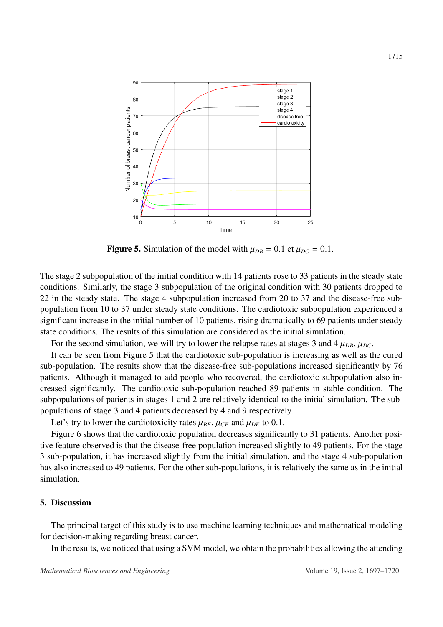<span id="page-18-0"></span>

Figure 5. Simulation of the model with  $\mu_{DB} = 0.1$  et  $\mu_{DC} = 0.1$ .

The stage 2 subpopulation of the initial condition with 14 patients rose to 33 patients in the steady state conditions. Similarly, the stage 3 subpopulation of the original condition with 30 patients dropped to 22 in the steady state. The stage 4 subpopulation increased from 20 to 37 and the disease-free subpopulation from 10 to 37 under steady state conditions. The cardiotoxic subpopulation experienced a significant increase in the initial number of 10 patients, rising dramatically to 69 patients under steady state conditions. The results of this simulation are considered as the initial simulation.

For the second simulation, we will try to lower the relapse rates at stages 3 and 4  $\mu_{DB}$ ,  $\mu_{DC}$ .

It can be seen from Figure [5](#page-18-0) that the cardiotoxic sub-population is increasing as well as the cured sub-population. The results show that the disease-free sub-populations increased significantly by 76 patients. Although it managed to add people who recovered, the cardiotoxic subpopulation also increased significantly. The cardiotoxic sub-population reached 89 patients in stable condition. The subpopulations of patients in stages 1 and 2 are relatively identical to the initial simulation. The subpopulations of stage 3 and 4 patients decreased by 4 and 9 respectively.

Let's try to lower the cardiotoxicity rates  $\mu_{BE}$ ,  $\mu_{CE}$  and  $\mu_{DE}$  to 0.1.

Figure [6](#page-19-0) shows that the cardiotoxic population decreases significantly to 31 patients. Another positive feature observed is that the disease-free population increased slightly to 49 patients. For the stage 3 sub-population, it has increased slightly from the initial simulation, and the stage 4 sub-population has also increased to 49 patients. For the other sub-populations, it is relatively the same as in the initial simulation.

### 5. Discussion

The principal target of this study is to use machine learning techniques and mathematical modeling for decision-making regarding breast cancer.

In the results, we noticed that using a SVM model, we obtain the probabilities allowing the attending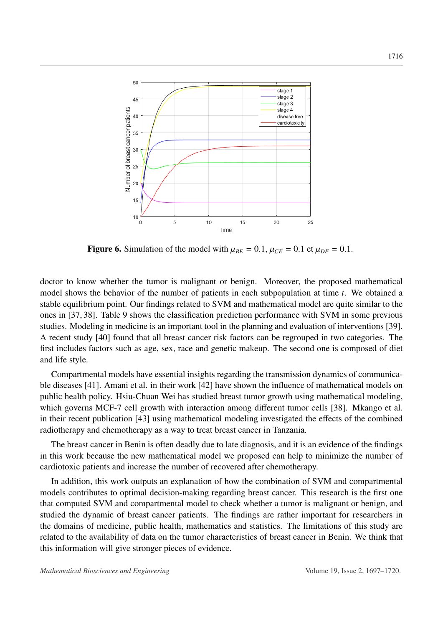<span id="page-19-0"></span>

Figure 6. Simulation of the model with  $\mu_{BE} = 0.1$ ,  $\mu_{CE} = 0.1$  et  $\mu_{DE} = 0.1$ .

doctor to know whether the tumor is malignant or benign. Moreover, the proposed mathematical model shows the behavior of the number of patients in each subpopulation at time *t*. We obtained a stable equilibrium point. Our findings related to SVM and mathematical model are quite similar to the ones in [\[37,](#page-23-3) [38\]](#page-23-4). Table [9](#page-20-0) shows the classification prediction performance with SVM in some previous studies. Modeling in medicine is an important tool in the planning and evaluation of interventions [\[39\]](#page-23-5). A recent study [\[40\]](#page-23-6) found that all breast cancer risk factors can be regrouped in two categories. The first includes factors such as age, sex, race and genetic makeup. The second one is composed of diet and life style.

Compartmental models have essential insights regarding the transmission dynamics of communicable diseases [\[41\]](#page-23-7). Amani et al. in their work [\[42\]](#page-23-8) have shown the influence of mathematical models on public health policy. Hsiu-Chuan Wei has studied breast tumor growth using mathematical modeling, which governs MCF-7 cell growth with interaction among different tumor cells [\[38\]](#page-23-4). Mkango et al. in their recent publication [\[43\]](#page-23-9) using mathematical modeling investigated the effects of the combined radiotherapy and chemotherapy as a way to treat breast cancer in Tanzania.

The breast cancer in Benin is often deadly due to late diagnosis, and it is an evidence of the findings in this work because the new mathematical model we proposed can help to minimize the number of cardiotoxic patients and increase the number of recovered after chemotherapy.

In addition, this work outputs an explanation of how the combination of SVM and compartmental models contributes to optimal decision-making regarding breast cancer. This research is the first one that computed SVM and compartmental model to check whether a tumor is malignant or benign, and studied the dynamic of breast cancer patients. The findings are rather important for researchers in the domains of medicine, public health, mathematics and statistics. The limitations of this study are related to the availability of data on the tumor characteristics of breast cancer in Benin. We think that this information will give stronger pieces of evidence.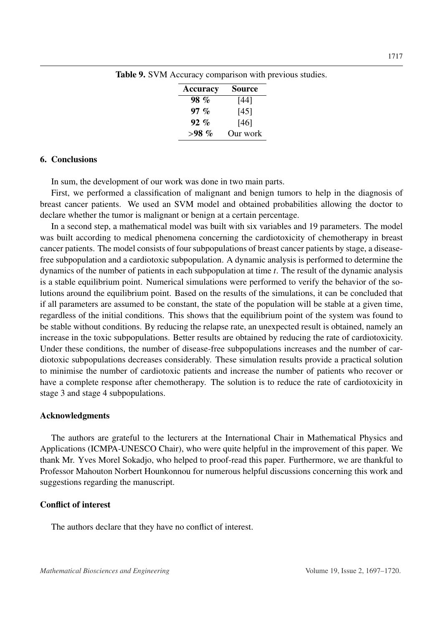| Source   |
|----------|
| [44]     |
| [45]     |
| [46]     |
| Our work |
|          |

<span id="page-20-0"></span>Table 9. SVM Accuracy comparison with previous studies.

### 6. Conclusions

In sum, the development of our work was done in two main parts.

First, we performed a classification of malignant and benign tumors to help in the diagnosis of breast cancer patients. We used an SVM model and obtained probabilities allowing the doctor to declare whether the tumor is malignant or benign at a certain percentage.

In a second step, a mathematical model was built with six variables and 19 parameters. The model was built according to medical phenomena concerning the cardiotoxicity of chemotherapy in breast cancer patients. The model consists of four subpopulations of breast cancer patients by stage, a diseasefree subpopulation and a cardiotoxic subpopulation. A dynamic analysis is performed to determine the dynamics of the number of patients in each subpopulation at time *t*. The result of the dynamic analysis is a stable equilibrium point. Numerical simulations were performed to verify the behavior of the solutions around the equilibrium point. Based on the results of the simulations, it can be concluded that if all parameters are assumed to be constant, the state of the population will be stable at a given time, regardless of the initial conditions. This shows that the equilibrium point of the system was found to be stable without conditions. By reducing the relapse rate, an unexpected result is obtained, namely an increase in the toxic subpopulations. Better results are obtained by reducing the rate of cardiotoxicity. Under these conditions, the number of disease-free subpopulations increases and the number of cardiotoxic subpopulations decreases considerably. These simulation results provide a practical solution to minimise the number of cardiotoxic patients and increase the number of patients who recover or have a complete response after chemotherapy. The solution is to reduce the rate of cardiotoxicity in stage 3 and stage 4 subpopulations.

#### Acknowledgments

The authors are grateful to the lecturers at the International Chair in Mathematical Physics and Applications (ICMPA-UNESCO Chair), who were quite helpful in the improvement of this paper. We thank Mr. Yves Morel Sokadjo, who helped to proof-read this paper. Furthermore, we are thankful to Professor Mahouton Norbert Hounkonnou for numerous helpful discussions concerning this work and suggestions regarding the manuscript.

# Conflict of interest

The authors declare that they have no conflict of interest.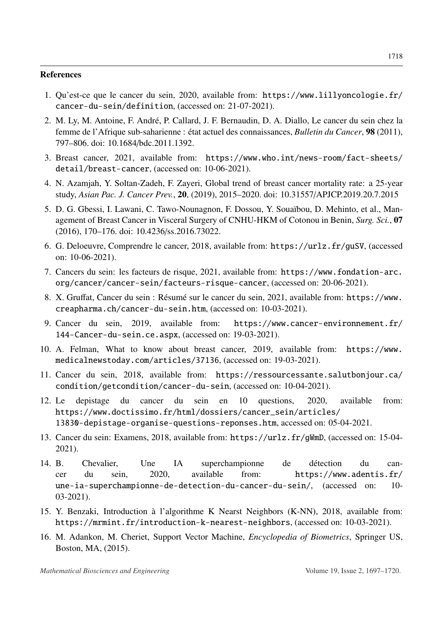#### References

- <span id="page-21-0"></span>1. Qu'est-ce que le cancer du sein, 2020, available from: [https://www.lillyoncologie.fr/](https://www.lillyoncologie.fr/cancer-du-sein/definition) [cancer-du-sein/definition](https://www.lillyoncologie.fr/cancer-du-sein/definition), (accessed on: 21-07-2021).
- <span id="page-21-1"></span>2. M. Ly, M. Antoine, F. Andre, P. Callard, J. F. Bernaudin, D. A. Diallo, Le cancer du sein chez la ´ femme de l'Afrique sub-saharienne : état actuel des connaissances, *Bulletin du Cancer*, 98 (2011), 797–806. doi: 10.1684/bdc.2011.1392.
- <span id="page-21-2"></span>3. Breast cancer, 2021, available from: [https://www.who.int/news-room/fact-sheets/](https://www.who.int/news-room/fact-sheets/detail/breast-cancer) [detail/breast-cancer](https://www.who.int/news-room/fact-sheets/detail/breast-cancer), (accessed on: 10-06-2021).
- <span id="page-21-3"></span>4. N. Azamjah, Y. Soltan-Zadeh, F. Zayeri, Global trend of breast cancer mortality rate: a 25-year study, *Asian Pac. J. Cancer Prev.*, 20, (2019), 2015–2020. doi: 10.31557/APJCP.2019.20.7.2015
- <span id="page-21-4"></span>5. D. G. Gbessi, I. Lawani, C. Tawo-Nounagnon, F. Dossou, Y. Soua¨ıbou, D. Mehinto, et al., Management of Breast Cancer in Visceral Surgery of CNHU-HKM of Cotonou in Benin, *Surg. Sci.*, 07 (2016), 170–176. doi: 10.4236/ss.2016.73022.
- <span id="page-21-5"></span>6. G. Deloeuvre, Comprendre le cancer, 2018, available from: <https://urlz.fr/guSV>, (accessed on: 10-06-2021).
- <span id="page-21-6"></span>7. Cancers du sein: les facteurs de risque, 2021, available from: [https://www.fondation-arc.](https://www.fondation-arc.org/cancer/cancer-sein/facteurs-risque-cancer) [org/cancer/cancer-sein/facteurs-risque-cancer](https://www.fondation-arc.org/cancer/cancer-sein/facteurs-risque-cancer), (accessed on: 20-06-2021).
- <span id="page-21-7"></span>8. X. Gruffat, Cancer du sein : Résumé sur le cancer du sein, 2021, available from: [https://www.](https://www.creapharma.ch/cancer-du-sein.htm) [creapharma.ch/cancer-du-sein.htm](https://www.creapharma.ch/cancer-du-sein.htm), (accessed on: 10-03-2021).
- 9. Cancer du sein, 2019, available from: [https://www.cancer-environnement.fr/](https://www.cancer-environnement.fr/144-Cancer-du-sein.ce.aspx) [144-Cancer-du-sein.ce.aspx](https://www.cancer-environnement.fr/144-Cancer-du-sein.ce.aspx), (accessed on: 19-03-2021).
- <span id="page-21-8"></span>10. A. Felman, What to know about breast cancer, 2019, available from: [https://www.](https://www.medicalnewstoday.com/articles/37136) [medicalnewstoday.com/articles/37136](https://www.medicalnewstoday.com/articles/37136), (accessed on: 19-03-2021).
- <span id="page-21-9"></span>11. Cancer du sein, 2018, available from: [https://ressourcessante.salutbonjour.ca/](https://ressourcessante.salutbonjour.ca/condition/getcondition/cancer-du-sein) [condition/getcondition/cancer-du-sein](https://ressourcessante.salutbonjour.ca/condition/getcondition/cancer-du-sein), (accessed on: 10-04-2021).
- <span id="page-21-10"></span>12. Le depistage du cancer du sein en 10 questions, 2020, available from: [https://www.doctissimo.fr/html/dossiers/cancer\\_sein/articles/](https://www.doctissimo.fr/html/dossiers/cancer_sein/articles/13830-depistage-organise-questions-reponses.htm) [13830-depistage-organise-questions-reponses.htm](https://www.doctissimo.fr/html/dossiers/cancer_sein/articles/13830-depistage-organise-questions-reponses.htm), accessed on: 05-04-2021.
- <span id="page-21-11"></span>13. Cancer du sein: Examens, 2018, available from: <https://urlz.fr/gWmD>, (accessed on: 15-04- 2021).
- <span id="page-21-12"></span>14. B. Chevalier, Une IA superchampionne de detection du can- ´ cer du sein, 2020, available from: [https://www.adentis.fr/](https://www.adentis.fr/une-ia-superchampionne-de-detection-du-cancer-du-sein/) [une-ia-superchampionne-de-detection-du-cancer-du-sein/](https://www.adentis.fr/une-ia-superchampionne-de-detection-du-cancer-du-sein/), (accessed on: 10- 03-2021).
- <span id="page-21-13"></span>15. Y. Benzaki, Introduction a l'algorithme K Nearst Neighbors (K-NN), 2018, available from: ` <https://mrmint.fr/introduction-k-nearest-neighbors>, (accessed on: 10-03-2021).
- <span id="page-21-14"></span>16. M. Adankon, M. Cheriet, Support Vector Machine, *Encyclopedia of Biometrics*, Springer US, Boston, MA, (2015).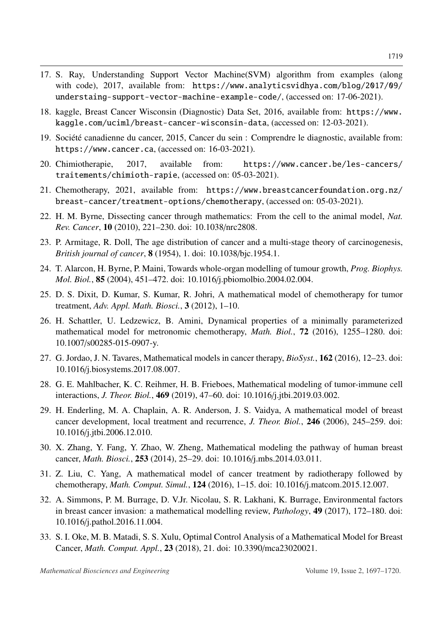- <span id="page-22-0"></span>17. S. Ray, Understanding Support Vector Machine(SVM) algorithm from examples (along with code), 2017, available from: [https://www.analyticsvidhya.com/blog/2017/09/](https://www.analyticsvidhya.com/blog/2017/09/understaing-support-vector-machine-example-code/) [understaing-support-vector-machine-example-code/](https://www.analyticsvidhya.com/blog/2017/09/understaing-support-vector-machine-example-code/), (accessed on: 17-06-2021).
- <span id="page-22-1"></span>18. kaggle, Breast Cancer Wisconsin (Diagnostic) Data Set, 2016, available from: [https://www.](https://www.kaggle.com/uciml/breast-cancer-wisconsin-data) [kaggle.com/uciml/breast-cancer-wisconsin-data](https://www.kaggle.com/uciml/breast-cancer-wisconsin-data), (accessed on: 12-03-2021).
- <span id="page-22-2"></span>19. Société canadienne du cancer, 2015, Cancer du sein : Comprendre le diagnostic, available from: <https://www.cancer.ca>, (accessed on: 16-03-2021).
- <span id="page-22-3"></span>20. Chimiotherapie, 2017, available from: [https://www.cancer.be/les-cancers/](https://www.cancer.be/les-cancers/traitements/chimioth-rapie) [traitements/chimioth-rapie](https://www.cancer.be/les-cancers/traitements/chimioth-rapie), (accessed on: 05-03-2021).
- <span id="page-22-4"></span>21. Chemotherapy, 2021, available from: [https://www.breastcancerfoundation.org.nz/](https://www.breastcancerfoundation.org.nz/breast-cancer/treatment-options/chemotherapy) [breast-cancer/treatment-options/chemotherapy](https://www.breastcancerfoundation.org.nz/breast-cancer/treatment-options/chemotherapy), (accessed on: 05-03-2021).
- <span id="page-22-5"></span>22. H. M. Byrne, Dissecting cancer through mathematics: From the cell to the animal model, *Nat. Rev. Cancer*, 10 (2010), 221–230. doi: 10.1038/nrc2808.
- 23. P. Armitage, R. Doll, The age distribution of cancer and a multi-stage theory of carcinogenesis, *British journal of cancer*, 8 (1954), 1. doi: 10.1038/bjc.1954.1.
- <span id="page-22-6"></span>24. T. Alarcon, H. Byrne, P. Maini, Towards whole-organ modelling of tumour growth, *Prog. Biophys. Mol. Biol.*, **85** (2004), 451–472. doi: 10.1016/j.pbiomolbio.2004.02.004.
- <span id="page-22-7"></span>25. D. S. Dixit, D. Kumar, S. Kumar, R. Johri, A mathematical model of chemotherapy for tumor treatment, *Adv. Appl. Math. Biosci.*, 3 (2012), 1–10.
- <span id="page-22-8"></span>26. H. Schattler, U. Ledzewicz, B. Amini, Dynamical properties of a minimally parameterized mathematical model for metronomic chemotherapy, *Math. Biol.*, 72 (2016), 1255–1280. doi: 10.1007/s00285-015-0907-y.
- <span id="page-22-9"></span>27. G. Jordao, J. N. Tavares, Mathematical models in cancer therapy, *BioSyst.*, 162 (2016), 12–23. doi: 10.1016/j.biosystems.2017.08.007.
- <span id="page-22-10"></span>28. G. E. Mahlbacher, K. C. Reihmer, H. B. Frieboes, Mathematical modeling of tumor-immune cell interactions, *J. Theor. Biol.*, 469 (2019), 47–60. doi: 10.1016/j.jtbi.2019.03.002.
- <span id="page-22-11"></span>29. H. Enderling, M. A. Chaplain, A. R. Anderson, J. S. Vaidya, A mathematical model of breast cancer development, local treatment and recurrence, *J. Theor. Biol.*, 246 (2006), 245–259. doi: 10.1016/j.jtbi.2006.12.010.
- <span id="page-22-12"></span>30. X. Zhang, Y. Fang, Y. Zhao, W. Zheng, Mathematical modeling the pathway of human breast cancer, *Math. Biosci.*, 253 (2014), 25–29. doi: 10.1016/j.mbs.2014.03.011.
- <span id="page-22-13"></span>31. Z. Liu, C. Yang, A mathematical model of cancer treatment by radiotherapy followed by chemotherapy, *Math. Comput. Simul.*, 124 (2016), 1–15. doi: 10.1016/j.matcom.2015.12.007.
- <span id="page-22-14"></span>32. A. Simmons, P. M. Burrage, D. V.Jr. Nicolau, S. R. Lakhani, K. Burrage, Environmental factors in breast cancer invasion: a mathematical modelling review, *Pathology*, 49 (2017), 172–180. doi: 10.1016/j.pathol.2016.11.004.
- <span id="page-22-15"></span>33. S. I. Oke, M. B. Matadi, S. S. Xulu, Optimal Control Analysis of a Mathematical Model for Breast Cancer, *Math. Comput. Appl.*, 23 (2018), 21. doi: 10.3390/mca23020021.